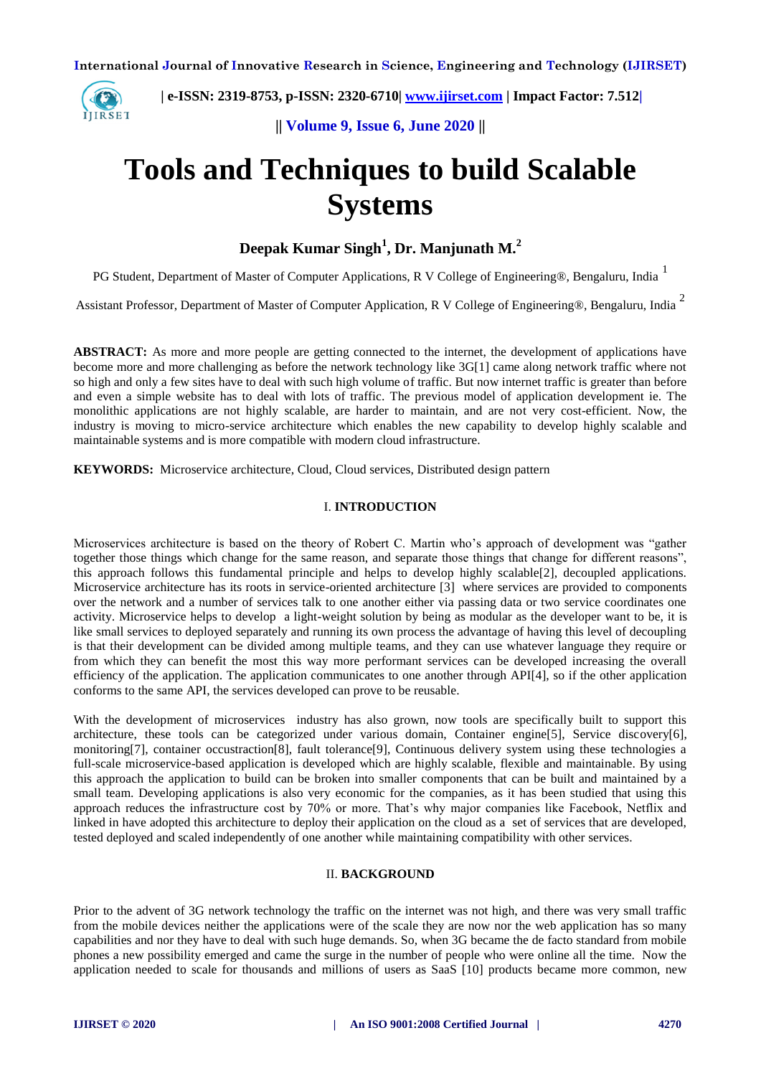

 **| e-ISSN: 2319-8753, p-ISSN: 2320-6710| [www.ijirset.com](http://www.ijirset.com/) | Impact Factor: 7.512|**

**|| Volume 9, Issue 6, June 2020 ||** 

# **Tools and Techniques to build Scalable Systems**

## **Deepak Kumar Singh<sup>1</sup> , Dr. Manjunath M.<sup>2</sup>**

PG Student, Department of Master of Computer Applications, R V College of Engineering®, Bengaluru, India<sup>1</sup>

Assistant Professor, Department of Master of Computer Application, R V College of Engineering®, Bengaluru, India  $^2$ 

**ABSTRACT:** As more and more people are getting connected to the internet, the development of applications have become more and more challenging as before the network technology like 3G[1] came along network traffic where not so high and only a few sites have to deal with such high volume of traffic. But now internet traffic is greater than before and even a simple website has to deal with lots of traffic. The previous model of application development ie. The monolithic applications are not highly scalable, are harder to maintain, and are not very cost-efficient. Now, the industry is moving to micro-service architecture which enables the new capability to develop highly scalable and maintainable systems and is more compatible with modern cloud infrastructure.

**KEYWORDS:** Microservice architecture, Cloud, Cloud services, Distributed design pattern

### I. **INTRODUCTION**

Microservices architecture is based on the theory of Robert C. Martin who's approach of development was "gather together those things which change for the same reason, and separate those things that change for different reasons", this approach follows this fundamental principle and helps to develop highly scalable[2], decoupled applications. Microservice architecture has its roots in service-oriented architecture [3] where services are provided to components over the network and a number of services talk to one another either via passing data or two service coordinates one activity. Microservice helps to develop a light-weight solution by being as modular as the developer want to be, it is like small services to deployed separately and running its own process the advantage of having this level of decoupling is that their development can be divided among multiple teams, and they can use whatever language they require or from which they can benefit the most this way more performant services can be developed increasing the overall efficiency of the application. The application communicates to one another through API[4], so if the other application conforms to the same API, the services developed can prove to be reusable.

With the development of microservices industry has also grown, now tools are specifically built to support this architecture, these tools can be categorized under various domain, Container engine[5], Service discovery[6], monitoring[7], container occustraction[8], fault tolerance[9], Continuous delivery system using these technologies a full-scale microservice-based application is developed which are highly scalable, flexible and maintainable. By using this approach the application to build can be broken into smaller components that can be built and maintained by a small team. Developing applications is also very economic for the companies, as it has been studied that using this approach reduces the infrastructure cost by 70% or more. That's why major companies like Facebook, Netflix and linked in have adopted this architecture to deploy their application on the cloud as a set of services that are developed, tested deployed and scaled independently of one another while maintaining compatibility with other services.

## II. **BACKGROUND**

Prior to the advent of 3G network technology the traffic on the internet was not high, and there was very small traffic from the mobile devices neither the applications were of the scale they are now nor the web application has so many capabilities and nor they have to deal with such huge demands. So, when 3G became the de facto standard from mobile phones a new possibility emerged and came the surge in the number of people who were online all the time. Now the application needed to scale for thousands and millions of users as SaaS [10] products became more common, new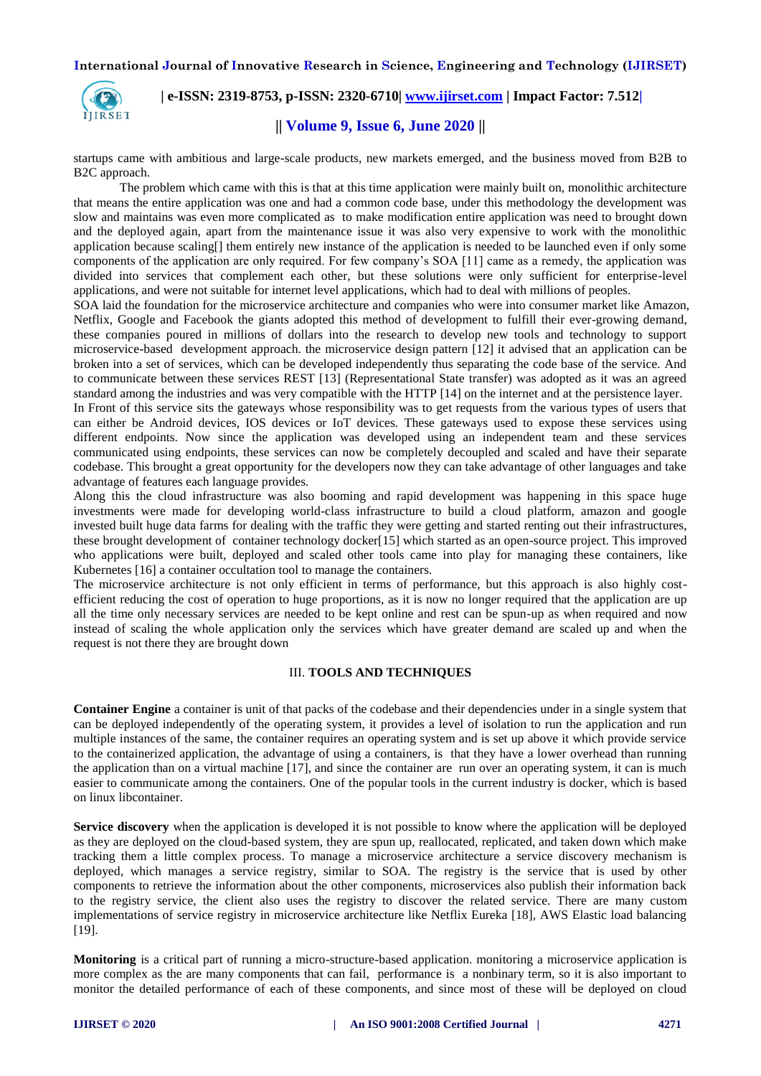

 **| e-ISSN: 2319-8753, p-ISSN: 2320-6710| [www.ijirset.com](http://www.ijirset.com/) | Impact Factor: 7.512|**

## **|| Volume 9, Issue 6, June 2020 ||**

startups came with ambitious and large-scale products, new markets emerged, and the business moved from B2B to B2C approach.

The problem which came with this is that at this time application were mainly built on, monolithic architecture that means the entire application was one and had a common code base, under this methodology the development was slow and maintains was even more complicated as to make modification entire application was need to brought down and the deployed again, apart from the maintenance issue it was also very expensive to work with the monolithic application because scaling[] them entirely new instance of the application is needed to be launched even if only some components of the application are only required. For few company's SOA [11] came as a remedy, the application was divided into services that complement each other, but these solutions were only sufficient for enterprise-level applications, and were not suitable for internet level applications, which had to deal with millions of peoples.

SOA laid the foundation for the microservice architecture and companies who were into consumer market like Amazon, Netflix, Google and Facebook the giants adopted this method of development to fulfill their ever-growing demand, these companies poured in millions of dollars into the research to develop new tools and technology to support microservice-based development approach. the microservice design pattern [12] it advised that an application can be broken into a set of services, which can be developed independently thus separating the code base of the service. And to communicate between these services REST [13] (Representational State transfer) was adopted as it was an agreed standard among the industries and was very compatible with the HTTP [14] on the internet and at the persistence layer.

In Front of this service sits the gateways whose responsibility was to get requests from the various types of users that can either be Android devices, IOS devices or IoT devices. These gateways used to expose these services using different endpoints. Now since the application was developed using an independent team and these services communicated using endpoints, these services can now be completely decoupled and scaled and have their separate codebase. This brought a great opportunity for the developers now they can take advantage of other languages and take advantage of features each language provides.

Along this the cloud infrastructure was also booming and rapid development was happening in this space huge investments were made for developing world-class infrastructure to build a cloud platform, amazon and google invested built huge data farms for dealing with the traffic they were getting and started renting out their infrastructures, these brought development of container technology docker[15] which started as an open-source project. This improved who applications were built, deployed and scaled other tools came into play for managing these containers, like Kubernetes [16] a container occultation tool to manage the containers.

The microservice architecture is not only efficient in terms of performance, but this approach is also highly costefficient reducing the cost of operation to huge proportions, as it is now no longer required that the application are up all the time only necessary services are needed to be kept online and rest can be spun-up as when required and now instead of scaling the whole application only the services which have greater demand are scaled up and when the request is not there they are brought down

## III. **TOOLS AND TECHNIQUES**

**Container Engine** a container is unit of that packs of the codebase and their dependencies under in a single system that can be deployed independently of the operating system, it provides a level of isolation to run the application and run multiple instances of the same, the container requires an operating system and is set up above it which provide service to the containerized application, the advantage of using a containers, is that they have a lower overhead than running the application than on a virtual machine [17], and since the container are run over an operating system, it can is much easier to communicate among the containers. One of the popular tools in the current industry is docker, which is based on linux libcontainer.

**Service discovery** when the application is developed it is not possible to know where the application will be deployed as they are deployed on the cloud-based system, they are spun up, reallocated, replicated, and taken down which make tracking them a little complex process. To manage a microservice architecture a service discovery mechanism is deployed, which manages a service registry, similar to SOA. The registry is the service that is used by other components to retrieve the information about the other components, microservices also publish their information back to the registry service, the client also uses the registry to discover the related service. There are many custom implementations of service registry in microservice architecture like Netflix Eureka [18], AWS Elastic load balancing [19].

**Monitoring** is a critical part of running a micro-structure-based application. monitoring a microservice application is more complex as the are many components that can fail, performance is a nonbinary term, so it is also important to monitor the detailed performance of each of these components, and since most of these will be deployed on cloud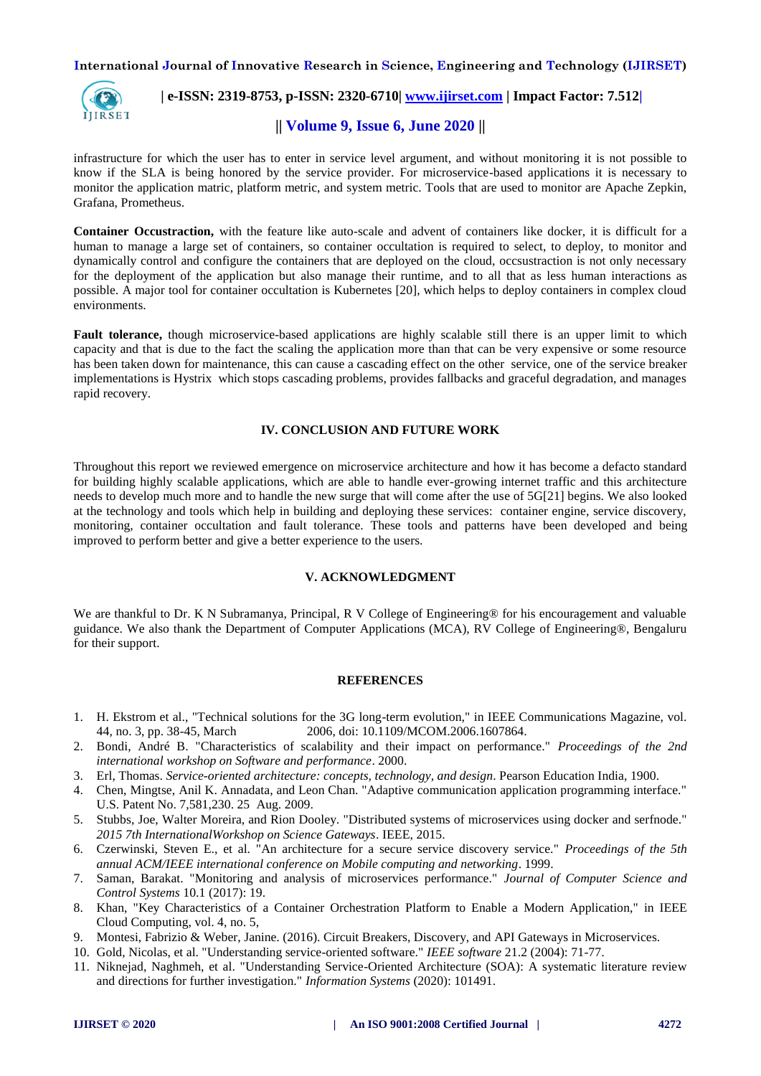

## **| e-ISSN: 2319-8753, p-ISSN: 2320-6710| [www.ijirset.com](http://www.ijirset.com/) | Impact Factor: 7.512|**

## **|| Volume 9, Issue 6, June 2020 ||**

infrastructure for which the user has to enter in service level argument, and without monitoring it is not possible to know if the SLA is being honored by the service provider. For microservice-based applications it is necessary to monitor the application matric, platform metric, and system metric. Tools that are used to monitor are Apache Zepkin, Grafana, Prometheus.

**Container Occustraction,** with the feature like auto-scale and advent of containers like docker, it is difficult for a human to manage a large set of containers, so container occultation is required to select, to deploy, to monitor and dynamically control and configure the containers that are deployed on the cloud, occsustraction is not only necessary for the deployment of the application but also manage their runtime, and to all that as less human interactions as possible. A major tool for container occultation is Kubernetes [20], which helps to deploy containers in complex cloud environments.

**Fault tolerance,** though microservice-based applications are highly scalable still there is an upper limit to which capacity and that is due to the fact the scaling the application more than that can be very expensive or some resource has been taken down for maintenance, this can cause a cascading effect on the other service, one of the service breaker implementations is Hystrix which stops cascading problems, provides fallbacks and graceful degradation, and manages rapid recovery.

## **IV. CONCLUSION AND FUTURE WORK**

Throughout this report we reviewed emergence on microservice architecture and how it has become a defacto standard for building highly scalable applications, which are able to handle ever-growing internet traffic and this architecture needs to develop much more and to handle the new surge that will come after the use of 5G[21] begins. We also looked at the technology and tools which help in building and deploying these services: container engine, service discovery, monitoring, container occultation and fault tolerance. These tools and patterns have been developed and being improved to perform better and give a better experience to the users.

### **V. ACKNOWLEDGMENT**

We are thankful to Dr. K N Subramanya, Principal, R V College of Engineering® for his encouragement and valuable guidance. We also thank the Department of Computer Applications (MCA), RV College of Engineering®, Bengaluru for their support.

### **REFERENCES**

- 1. H. Ekstrom et al., "Technical solutions for the 3G long-term evolution," in IEEE Communications Magazine, vol. 44, no. 3, pp. 38-45, March 2006, doi: 10.1109/MCOM.2006.1607864.
- 2. Bondi, André B. "Characteristics of scalability and their impact on performance." *Proceedings of the 2nd international workshop on Software and performance*. 2000.
- 3. Erl, Thomas. *Service-oriented architecture: concepts, technology, and design*. Pearson Education India, 1900.
- 4. Chen, Mingtse, Anil K. Annadata, and Leon Chan. "Adaptive communication application programming interface." U.S. Patent No. 7,581,230, 25 Aug. 2009.
- 5. Stubbs, Joe, Walter Moreira, and Rion Dooley. "Distributed systems of microservices using docker and serfnode." *2015 7th InternationalWorkshop on Science Gateways*. IEEE, 2015.
- 6. Czerwinski, Steven E., et al. "An architecture for a secure service discovery service." *Proceedings of the 5th annual ACM/IEEE international conference on Mobile computing and networking*. 1999.
- 7. Saman, Barakat. "Monitoring and analysis of microservices performance." *Journal of Computer Science and Control Systems* 10.1 (2017): 19.
- 8. Khan, "Key Characteristics of a Container Orchestration Platform to Enable a Modern Application," in IEEE Cloud Computing, vol. 4, no. 5,
- 9. Montesi, Fabrizio & Weber, Janine. (2016). Circuit Breakers, Discovery, and API Gateways in Microservices.
- 10. Gold, Nicolas, et al. "Understanding service-oriented software." *IEEE software* 21.2 (2004): 71-77.
- 11. Niknejad, Naghmeh, et al. "Understanding Service-Oriented Architecture (SOA): A systematic literature review and directions for further investigation." *Information Systems* (2020): 101491.